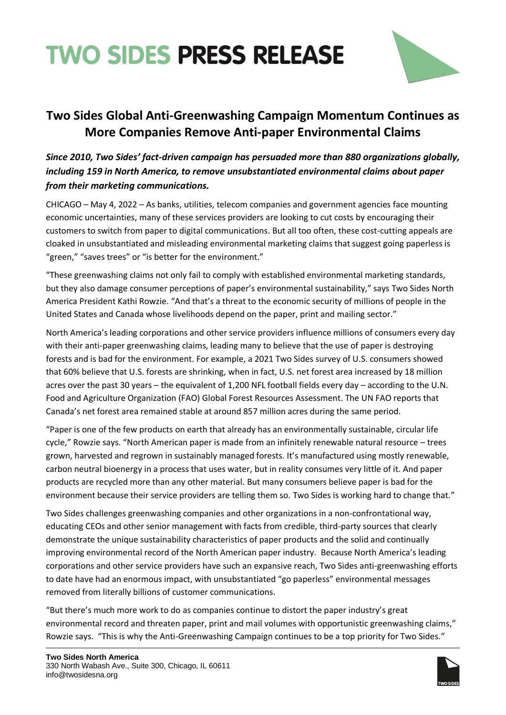



## **Two Sides Global Anti-Greenwashing Campaign Momentum Continues as More Companies Remove Anti-paper Environmental Claims**

## *Since 2010, Two Sides' fact-driven campaign has persuaded more than 880 organizations globally, including 159 in North America, to remove unsubstantiated environmental claims about paper from their marketing communications.*

CHICAGO – May 4, 2022 – As banks, utilities, telecom companies and government agencies face mounting economic uncertainties, many of these services providers are looking to cut costs by encouraging their customers to switch from paper to digital communications. But all too often, these cost-cutting appeals are cloaked in unsubstantiated and misleading environmental marketing claims that suggest going paperless is "green," "saves trees" or "is better for the environment."

"These greenwashing claims not only fail to comply with established environmental marketing standards, but they also damage consumer perceptions of paper's environmental sustainability," says Two Sides North America President Kathi Rowzie. "And that's a threat to the economic security of millions of people in the United States and Canada whose livelihoods depend on the paper, print and mailing sector."

North America's leading corporations and other service providers influence millions of consumers every day with their anti-paper greenwashing claims, leading many to believe that the use of paper is destroying forests and is bad for the environment. For example, a 2021 Two Sides survey of U.S. consumers showed that 60% believe that U.S. forests are shrinking, when in fact, U.S. net forest area increased by 18 million acres over the past 30 years – the equivalent of 1,200 NFL football fields every day – according to the U.N. Food and Agriculture Organization (FAO) Global Forest Resources Assessment. The UN FAO reports that Canada's net forest area remained stable at around 857 million acres during the same period.

"Paper is one of the few products on earth that already has an environmentally sustainable, circular life cycle," Rowzie says. "North American paper is made from an infinitely renewable natural resource – trees grown, harvested and regrown in sustainably managed forests. It's manufactured using mostly renewable, carbon neutral bioenergy in a process that uses water, but in reality consumes very little of it. And paper products are recycled more than any other material. But many consumers believe paper is bad for the environment because their service providers are telling them so. Two Sides is working hard to change that."

Two Sides challenges greenwashing companies and other organizations in a non-confrontational way, educating CEOs and other senior management with facts from credible, third-party sources that clearly demonstrate the unique sustainability characteristics of paper products and the solid and continually improving environmental record of the North American paper industry. Because North America's leading corporations and other service providers have such an expansive reach, Two Sides anti-greenwashing efforts to date have had an enormous impact, with unsubstantiated "go paperless" environmental messages removed from literally billions of customer communications.

"But there's much more work to do as companies continue to distort the paper industry's great environmental record and threaten paper, print and mail volumes with opportunistic greenwashing claims," Rowzie says. "This is why the Anti-Greenwashing Campaign continues to be a top priority for Two Sides."